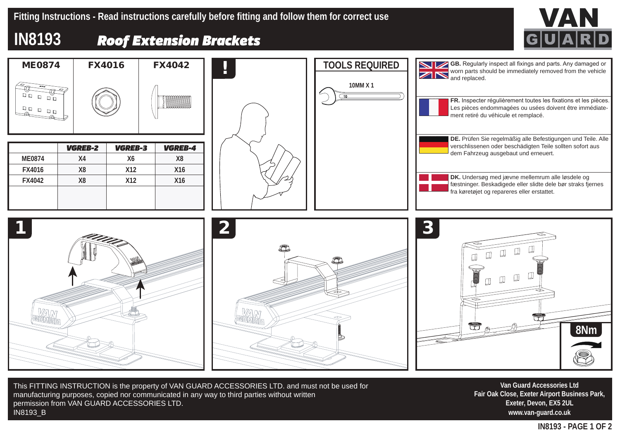## **IN8193** *Roof Extension Brackets*





| <b>VGREB-2</b> | <b>VGREB-3</b>  | <b>VGREB-4</b> |
|----------------|-----------------|----------------|
| X4             | Х6              | Х8             |
| Х8             | X12             | X16            |
| X8             | X <sub>12</sub> | X16            |
|                |                 |                |
|                |                 |                |
|                |                 |                |











This FITTING INSTRUCTION is the property of VAN GUARD ACCESSORIES LTD. and must not be used for manufacturing purposes, copied nor communicated in any way to third parties without written permission from VAN GUARD ACCESSORIES LTD. IN8193\_B

**Van Guard Accessories Ltd Fair Oak Close, Exeter Airport Business Park, Exeter, Devon, EX5 2UL www.van-guard.co.uk**

**IN8193 - PAGE 1 OF 2**